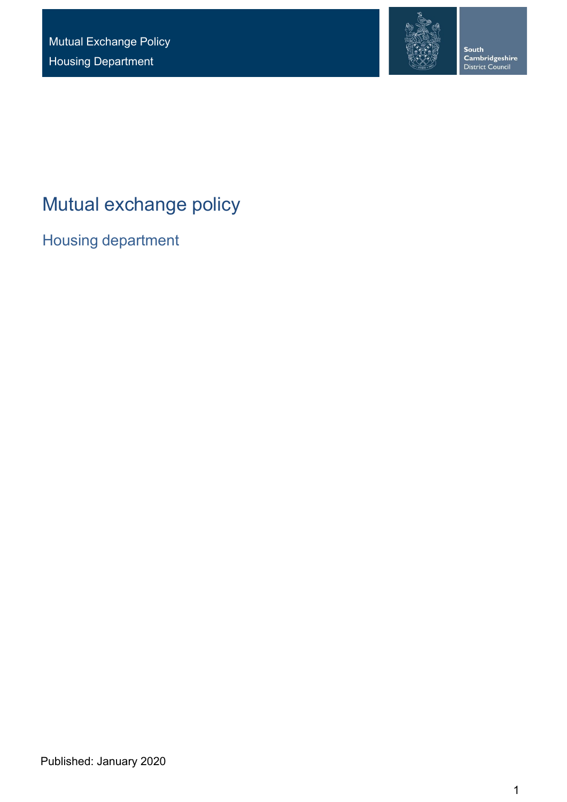

**South<br>Cambridgeshire**<br>District Council

# Mutual exchange policy

Housing department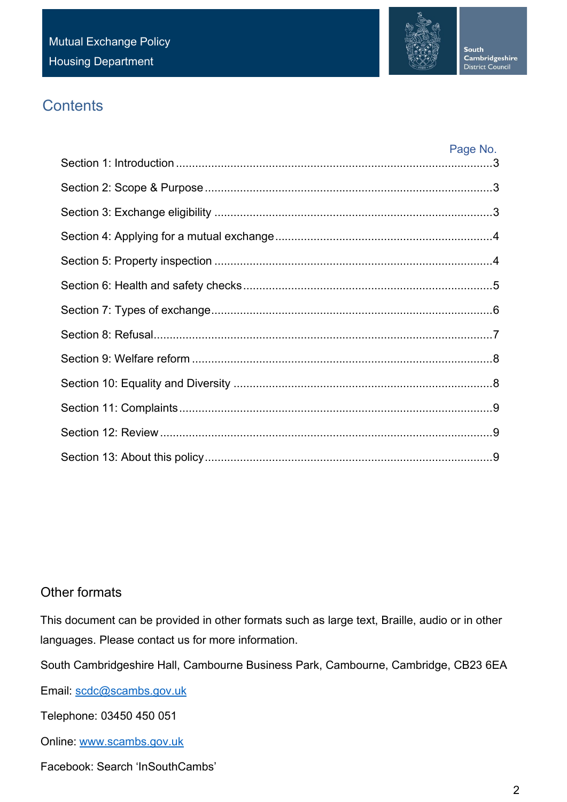

# **Contents**

| Page No. |
|----------|
|          |
|          |
|          |
|          |
|          |
|          |
|          |
|          |
|          |
|          |
|          |
|          |
|          |

# Other formats

This document can be provided in other formats such as large text, Braille, audio or in other languages. Please contact us for more information.

South Cambridgeshire Hall, Cambourne Business Park, Cambourne, Cambridge, CB23 6EA

Email: [scdc@scambs.gov.uk](mailto:scdc@scambs.gov.uk)

Telephone: 03450 450 051

Online: [www.scambs.gov.uk](http://www.scambs.gov.uk/)

Facebook: Search 'InSouthCambs'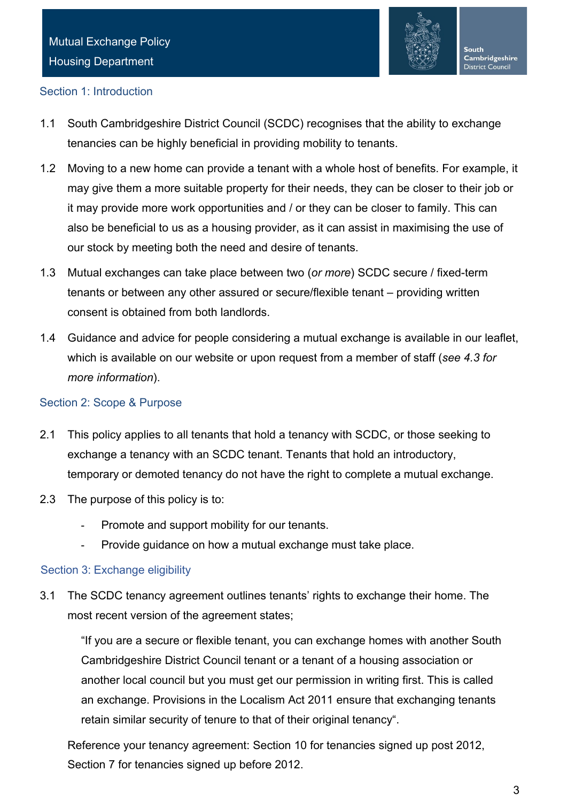

### <span id="page-2-0"></span>Section 1: Introduction

- 1.1 South Cambridgeshire District Council (SCDC) recognises that the ability to exchange tenancies can be highly beneficial in providing mobility to tenants.
- 1.2 Moving to a new home can provide a tenant with a whole host of benefits. For example, it may give them a more suitable property for their needs, they can be closer to their job or it may provide more work opportunities and / or they can be closer to family. This can also be beneficial to us as a housing provider, as it can assist in maximising the use of our stock by meeting both the need and desire of tenants.
- 1.3 Mutual exchanges can take place between two (*or more*) SCDC secure / fixed-term tenants or between any other assured or secure/flexible tenant – providing written consent is obtained from both landlords.
- 1.4 Guidance and advice for people considering a mutual exchange is available in our leaflet, which is available on our website or upon request from a member of staff (*see 4.3 for more information*).

#### <span id="page-2-1"></span>Section 2: Scope & Purpose

- 2.1 This policy applies to all tenants that hold a tenancy with SCDC, or those seeking to exchange a tenancy with an SCDC tenant. Tenants that hold an introductory, temporary or demoted tenancy do not have the right to complete a mutual exchange.
- 2.3 The purpose of this policy is to:
	- Promote and support mobility for our tenants.
	- Provide guidance on how a mutual exchange must take place.

### <span id="page-2-2"></span>Section 3: Exchange eligibility

3.1 The SCDC tenancy agreement outlines tenants' rights to exchange their home. The most recent version of the agreement states;

"If you are a secure or flexible tenant, you can exchange homes with another South Cambridgeshire District Council tenant or a tenant of a housing association or another local council but you must get our permission in writing first. This is called an exchange. Provisions in the Localism Act 2011 ensure that exchanging tenants retain similar security of tenure to that of their original tenancy".

Reference your tenancy agreement: Section 10 for tenancies signed up post 2012, Section 7 for tenancies signed up before 2012.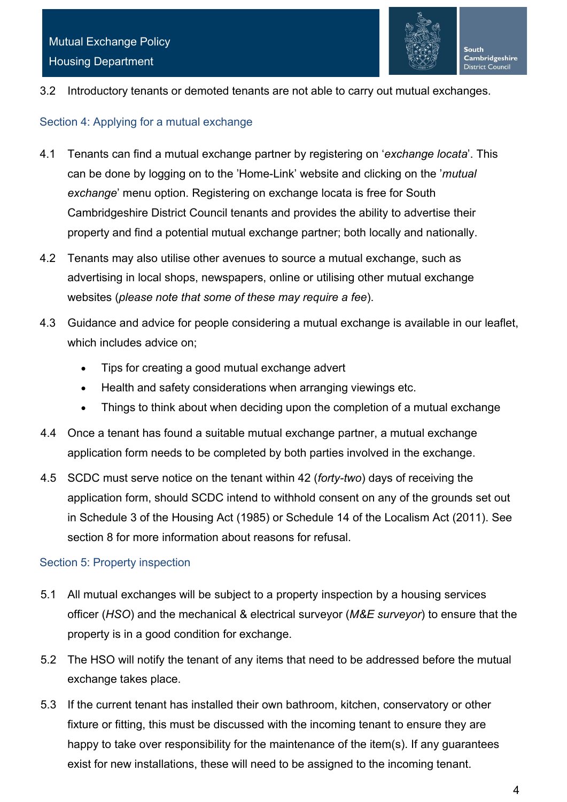

3.2 Introductory tenants or demoted tenants are not able to carry out mutual exchanges.

#### <span id="page-3-0"></span>Section 4: Applying for a mutual exchange

- 4.1 Tenants can find a mutual exchange partner by registering on '*exchange locata*'. This can be done by logging on to the 'Home-Link' website and clicking on the '*mutual exchange*' menu option. Registering on exchange locata is free for South Cambridgeshire District Council tenants and provides the ability to advertise their property and find a potential mutual exchange partner; both locally and nationally.
- 4.2 Tenants may also utilise other avenues to source a mutual exchange, such as advertising in local shops, newspapers, online or utilising other mutual exchange websites (*please note that some of these may require a fee*).
- 4.3 Guidance and advice for people considering a mutual exchange is available in our leaflet, which includes advice on:
	- Tips for creating a good mutual exchange advert
	- Health and safety considerations when arranging viewings etc.
	- Things to think about when deciding upon the completion of a mutual exchange
- 4.4 Once a tenant has found a suitable mutual exchange partner, a mutual exchange application form needs to be completed by both parties involved in the exchange.
- 4.5 SCDC must serve notice on the tenant within 42 (*forty-two*) days of receiving the application form, should SCDC intend to withhold consent on any of the grounds set out in Schedule 3 of the Housing Act (1985) or Schedule 14 of the Localism Act (2011). See section 8 for more information about reasons for refusal.

### <span id="page-3-1"></span>Section 5: Property inspection

- 5.1 All mutual exchanges will be subject to a property inspection by a housing services officer (*HSO*) and the mechanical & electrical surveyor (*M&E surveyor*) to ensure that the property is in a good condition for exchange.
- 5.2 The HSO will notify the tenant of any items that need to be addressed before the mutual exchange takes place.
- 5.3 If the current tenant has installed their own bathroom, kitchen, conservatory or other fixture or fitting, this must be discussed with the incoming tenant to ensure they are happy to take over responsibility for the maintenance of the item(s). If any guarantees exist for new installations, these will need to be assigned to the incoming tenant.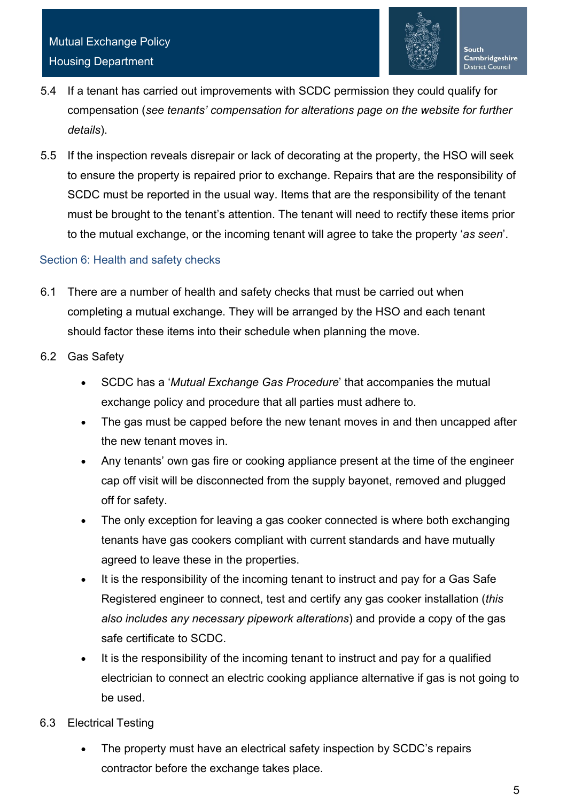

- 5.4 If a tenant has carried out improvements with SCDC permission they could qualify for compensation (*see tenants' compensation for alterations page on the website for further details*).
- 5.5 If the inspection reveals disrepair or lack of decorating at the property, the HSO will seek to ensure the property is repaired prior to exchange. Repairs that are the responsibility of SCDC must be reported in the usual way. Items that are the responsibility of the tenant must be brought to the tenant's attention. The tenant will need to rectify these items prior to the mutual exchange, or the incoming tenant will agree to take the property '*as seen*'.

# <span id="page-4-0"></span>Section 6: Health and safety checks

- 6.1 There are a number of health and safety checks that must be carried out when completing a mutual exchange. They will be arranged by the HSO and each tenant should factor these items into their schedule when planning the move.
- 6.2 Gas Safety
	- SCDC has a '*Mutual Exchange Gas Procedure*' that accompanies the mutual exchange policy and procedure that all parties must adhere to.
	- The gas must be capped before the new tenant moves in and then uncapped after the new tenant moves in.
	- Any tenants' own gas fire or cooking appliance present at the time of the engineer cap off visit will be disconnected from the supply bayonet, removed and plugged off for safety.
	- The only exception for leaving a gas cooker connected is where both exchanging tenants have gas cookers compliant with current standards and have mutually agreed to leave these in the properties.
	- It is the responsibility of the incoming tenant to instruct and pay for a Gas Safe Registered engineer to connect, test and certify any gas cooker installation (*this also includes any necessary pipework alterations*) and provide a copy of the gas safe certificate to SCDC.
	- It is the responsibility of the incoming tenant to instruct and pay for a qualified electrician to connect an electric cooking appliance alternative if gas is not going to be used.
- 6.3 Electrical Testing
	- The property must have an electrical safety inspection by SCDC's repairs contractor before the exchange takes place.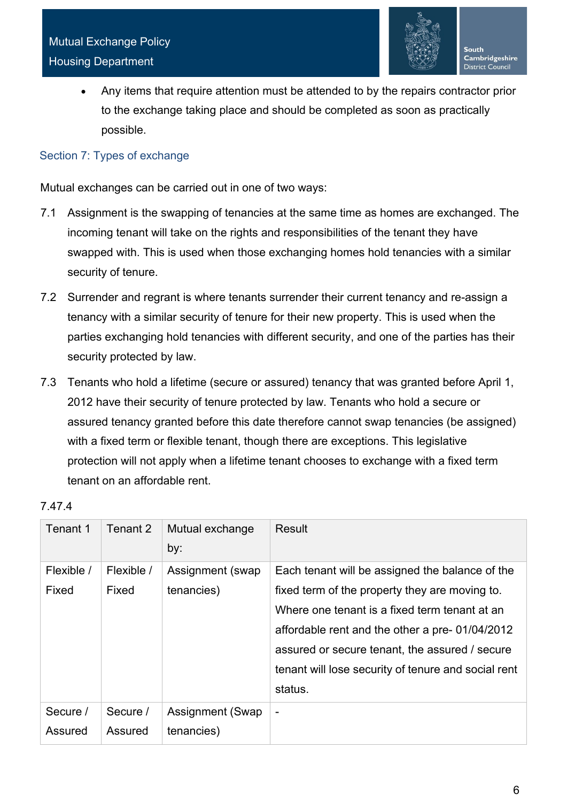

• Any items that require attention must be attended to by the repairs contractor prior to the exchange taking place and should be completed as soon as practically possible.

### <span id="page-5-0"></span>Section 7: Types of exchange

Mutual exchanges can be carried out in one of two ways:

- 7.1 Assignment is the swapping of tenancies at the same time as homes are exchanged. The incoming tenant will take on the rights and responsibilities of the tenant they have swapped with. This is used when those exchanging homes hold tenancies with a similar security of tenure.
- 7.2 Surrender and regrant is where tenants surrender their current tenancy and re-assign a tenancy with a similar security of tenure for their new property. This is used when the parties exchanging hold tenancies with different security, and one of the parties has their security protected by law.
- 7.3 Tenants who hold a lifetime (secure or assured) tenancy that was granted before April 1, 2012 have their security of tenure protected by law. Tenants who hold a secure or assured tenancy granted before this date therefore cannot swap tenancies (be assigned) with a fixed term or flexible tenant, though there are exceptions. This legislative protection will not apply when a lifetime tenant chooses to exchange with a fixed term tenant on an affordable rent.

| Tenant 1            | Tenant 2            | Mutual exchange<br>by:          | Result                                                                                                                                                                                                                                                                                                                   |
|---------------------|---------------------|---------------------------------|--------------------------------------------------------------------------------------------------------------------------------------------------------------------------------------------------------------------------------------------------------------------------------------------------------------------------|
| Flexible /<br>Fixed | Flexible /<br>Fixed | Assignment (swap)<br>tenancies) | Each tenant will be assigned the balance of the<br>fixed term of the property they are moving to.<br>Where one tenant is a fixed term tenant at an<br>affordable rent and the other a pre-01/04/2012<br>assured or secure tenant, the assured / secure<br>tenant will lose security of tenure and social rent<br>status. |
| Secure /<br>Assured | Secure /<br>Assured | Assignment (Swap<br>tenancies)  | $\overline{\phantom{a}}$                                                                                                                                                                                                                                                                                                 |

# 7.47.4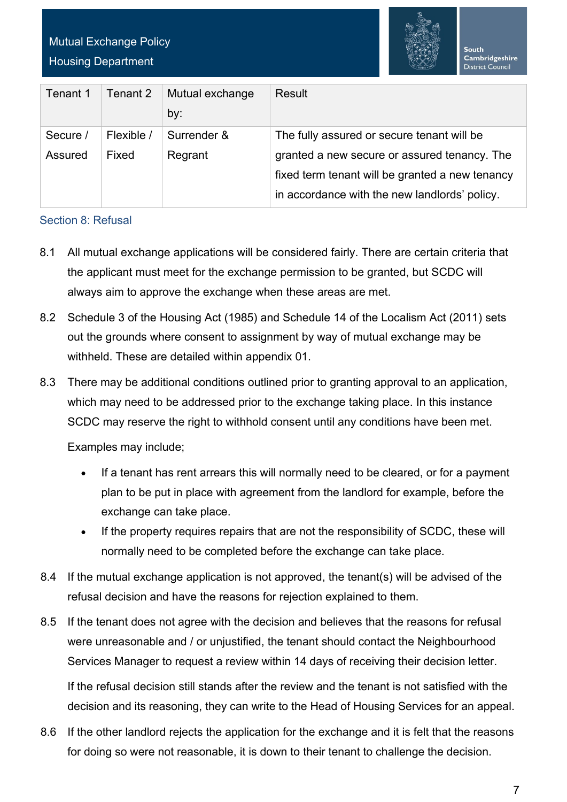# Mutual Exchange Policy Housing Department



| Tenant 1            | Tenant 2            | Mutual exchange<br>by: | Result                                                                                                                                                                                         |
|---------------------|---------------------|------------------------|------------------------------------------------------------------------------------------------------------------------------------------------------------------------------------------------|
| Secure /<br>Assured | Flexible /<br>Fixed | Surrender &<br>Regrant | The fully assured or secure tenant will be<br>granted a new secure or assured tenancy. The<br>fixed term tenant will be granted a new tenancy<br>in accordance with the new landlords' policy. |

### <span id="page-6-0"></span>Section 8: Refusal

- 8.1 All mutual exchange applications will be considered fairly. There are certain criteria that the applicant must meet for the exchange permission to be granted, but SCDC will always aim to approve the exchange when these areas are met.
- 8.2 Schedule 3 of the Housing Act (1985) and Schedule 14 of the Localism Act (2011) sets out the grounds where consent to assignment by way of mutual exchange may be withheld. These are detailed within appendix 01.
- 8.3 There may be additional conditions outlined prior to granting approval to an application, which may need to be addressed prior to the exchange taking place. In this instance SCDC may reserve the right to withhold consent until any conditions have been met.

Examples may include;

- If a tenant has rent arrears this will normally need to be cleared, or for a payment plan to be put in place with agreement from the landlord for example, before the exchange can take place.
- If the property requires repairs that are not the responsibility of SCDC, these will normally need to be completed before the exchange can take place.
- 8.4 If the mutual exchange application is not approved, the tenant(s) will be advised of the refusal decision and have the reasons for rejection explained to them.
- 8.5 If the tenant does not agree with the decision and believes that the reasons for refusal were unreasonable and / or unjustified, the tenant should contact the Neighbourhood Services Manager to request a review within 14 days of receiving their decision letter.

If the refusal decision still stands after the review and the tenant is not satisfied with the decision and its reasoning, they can write to the Head of Housing Services for an appeal.

8.6 If the other landlord rejects the application for the exchange and it is felt that the reasons for doing so were not reasonable, it is down to their tenant to challenge the decision.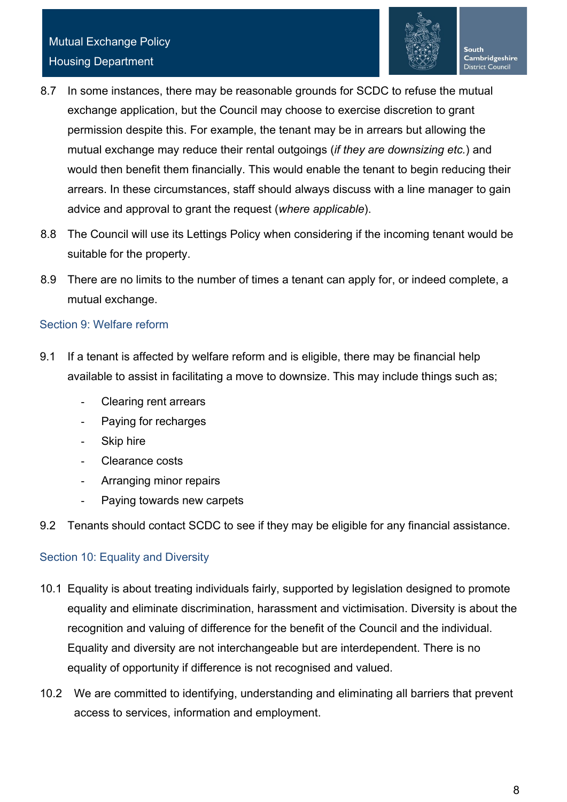

- 8.7 In some instances, there may be reasonable grounds for SCDC to refuse the mutual exchange application, but the Council may choose to exercise discretion to grant permission despite this. For example, the tenant may be in arrears but allowing the mutual exchange may reduce their rental outgoings (*if they are downsizing etc.*) and would then benefit them financially. This would enable the tenant to begin reducing their arrears. In these circumstances, staff should always discuss with a line manager to gain advice and approval to grant the request (*where applicable*).
- 8.8 The Council will use its Lettings Policy when considering if the incoming tenant would be suitable for the property.
- 8.9 There are no limits to the number of times a tenant can apply for, or indeed complete, a mutual exchange.

# <span id="page-7-0"></span>Section 9: Welfare reform

- 9.1 If a tenant is affected by welfare reform and is eligible, there may be financial help available to assist in facilitating a move to downsize. This may include things such as;
	- Clearing rent arrears
	- Paying for recharges
	- Skip hire
	- Clearance costs
	- Arranging minor repairs
	- Paying towards new carpets
- 9.2 Tenants should contact SCDC to see if they may be eligible for any financial assistance.

# <span id="page-7-1"></span>Section 10: Equality and Diversity

- 10.1 Equality is about treating individuals fairly, supported by legislation designed to promote equality and eliminate discrimination, harassment and victimisation. Diversity is about the recognition and valuing of difference for the benefit of the Council and the individual. Equality and diversity are not interchangeable but are interdependent. There is no equality of opportunity if difference is not recognised and valued.
- 10.2 We are committed to identifying, understanding and eliminating all barriers that prevent access to services, information and employment.